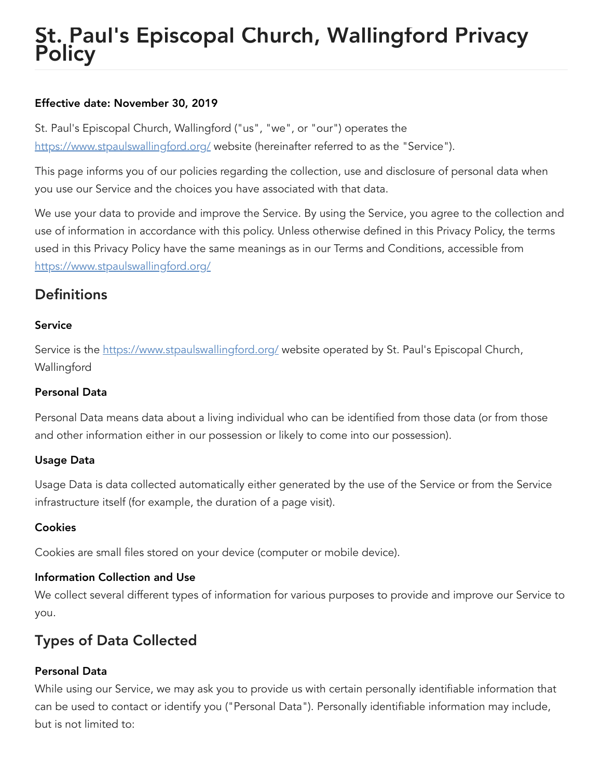# St. Paul's Episcopal Church, Wallingford Privacy **Policy**

#### Effective date: November 30, 2019

St. Paul's Episcopal Church, Wallingford ("us", "we", or "our") operates the <https://www.stpaulswallingford.org/> website (hereinafter referred to as the "Service").

This page informs you of our policies regarding the collection, use and disclosure of personal data when you use our Service and the choices you have associated with that data.

We use your data to provide and improve the Service. By using the Service, you agree to the collection and use of information in accordance with this policy. Unless otherwise defined in this Privacy Policy, the terms used in this Privacy Policy have the same meanings as in our Terms and Conditions, accessible from <https://www.stpaulswallingford.org/>

### **Definitions**

#### Service

Service is the <https://www.stpaulswallingford.org/> website operated by St. Paul's Episcopal Church, **Wallingford** 

#### Personal Data

Personal Data means data about a living individual who can be identified from those data (or from those and other information either in our possession or likely to come into our possession).

#### Usage Data

Usage Data is data collected automatically either generated by the use of the Service or from the Service infrastructure itself (for example, the duration of a page visit).

#### **Cookies**

Cookies are small files stored on your device (computer or mobile device).

#### Information Collection and Use

We collect several different types of information for various purposes to provide and improve our Service to you.

### Types of Data Collected

#### Personal Data

While using our Service, we may ask you to provide us with certain personally identifiable information that can be used to contact or identify you ("Personal Data"). Personally identifiable information may include, but is not limited to: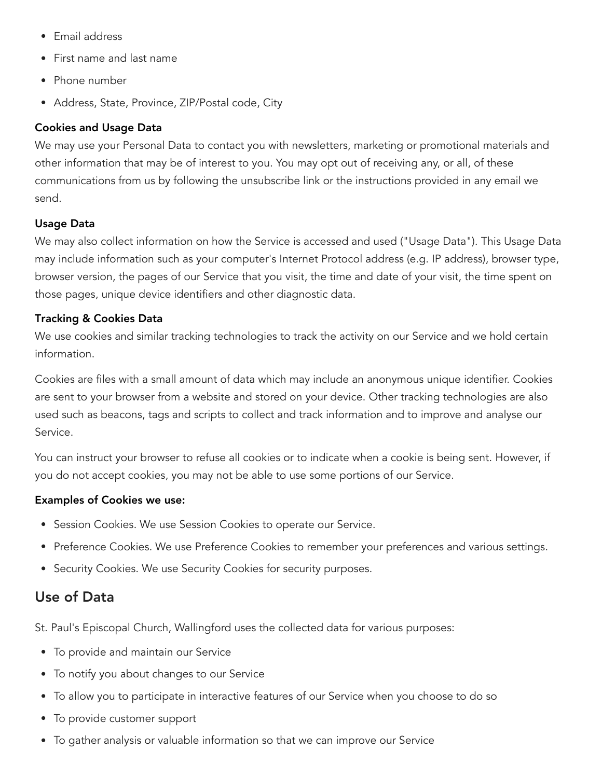- Email address
- First name and last name
- Phone number
- Address, State, Province, ZIP/Postal code, City

#### Cookies and Usage Data

We may use your Personal Data to contact you with newsletters, marketing or promotional materials and other information that may be of interest to you. You may opt out of receiving any, or all, of these communications from us by following the unsubscribe link or the instructions provided in any email we send.

#### Usage Data

We may also collect information on how the Service is accessed and used ("Usage Data"). This Usage Data may include information such as your computer's Internet Protocol address (e.g. IP address), browser type, browser version, the pages of our Service that you visit, the time and date of your visit, the time spent on those pages, unique device identifiers and other diagnostic data.

#### Tracking & Cookies Data

We use cookies and similar tracking technologies to track the activity on our Service and we hold certain information.

Cookies are files with a small amount of data which may include an anonymous unique identifier. Cookies are sent to your browser from a website and stored on your device. Other tracking technologies are also used such as beacons, tags and scripts to collect and track information and to improve and analyse our Service.

You can instruct your browser to refuse all cookies or to indicate when a cookie is being sent. However, if you do not accept cookies, you may not be able to use some portions of our Service.

#### Examples of Cookies we use:

- **•** Session Cookies. We use Session Cookies to operate our Service.
- Preference Cookies. We use Preference Cookies to remember your preferences and various settings.
- Security Cookies. We use Security Cookies for security purposes.

### Use of Data

St. Paul's Episcopal Church, Wallingford uses the collected data for various purposes:

- To provide and maintain our Service
- To notify you about changes to our Service
- To allow you to participate in interactive features of our Service when you choose to do so
- To provide customer support
- To gather analysis or valuable information so that we can improve our Service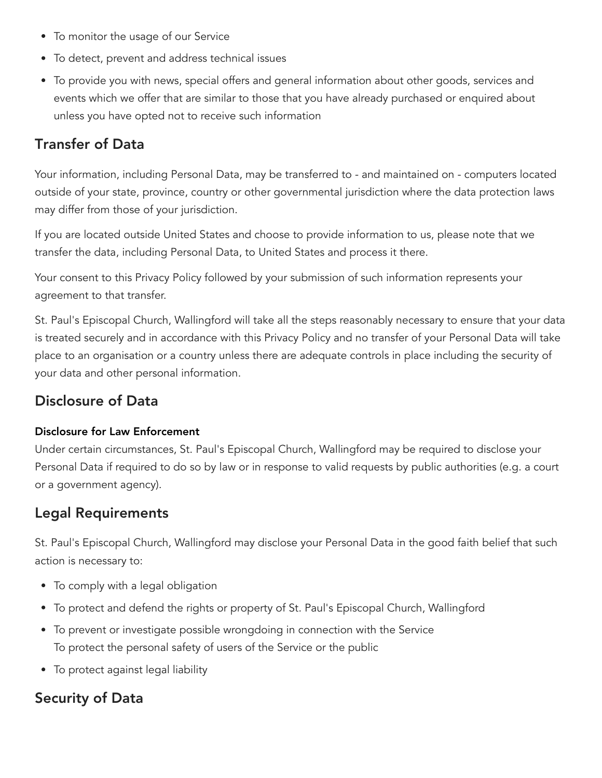- To monitor the usage of our Service
- To detect, prevent and address technical issues
- To provide you with news, special offers and general information about other goods, services and events which we offer that are similar to those that you have already purchased or enquired about unless you have opted not to receive such information

### Transfer of Data

Your information, including Personal Data, may be transferred to - and maintained on - computers located outside of your state, province, country or other governmental jurisdiction where the data protection laws may differ from those of your jurisdiction.

If you are located outside United States and choose to provide information to us, please note that we transfer the data, including Personal Data, to United States and process it there.

Your consent to this Privacy Policy followed by your submission of such information represents your agreement to that transfer.

St. Paul's Episcopal Church, Wallingford will take all the steps reasonably necessary to ensure that your data is treated securely and in accordance with this Privacy Policy and no transfer of your Personal Data will take place to an organisation or a country unless there are adequate controls in place including the security of your data and other personal information.

### Disclosure of Data

#### Disclosure for Law Enforcement

Under certain circumstances, St. Paul's Episcopal Church, Wallingford may be required to disclose your Personal Data if required to do so by law or in response to valid requests by public authorities (e.g. a court or a government agency).

### Legal Requirements

St. Paul's Episcopal Church, Wallingford may disclose your Personal Data in the good faith belief that such action is necessary to:

- To comply with a legal obligation
- To protect and defend the rights or property of St. Paul's Episcopal Church, Wallingford
- To prevent or investigate possible wrongdoing in connection with the Service To protect the personal safety of users of the Service or the public
- To protect against legal liability

### Security of Data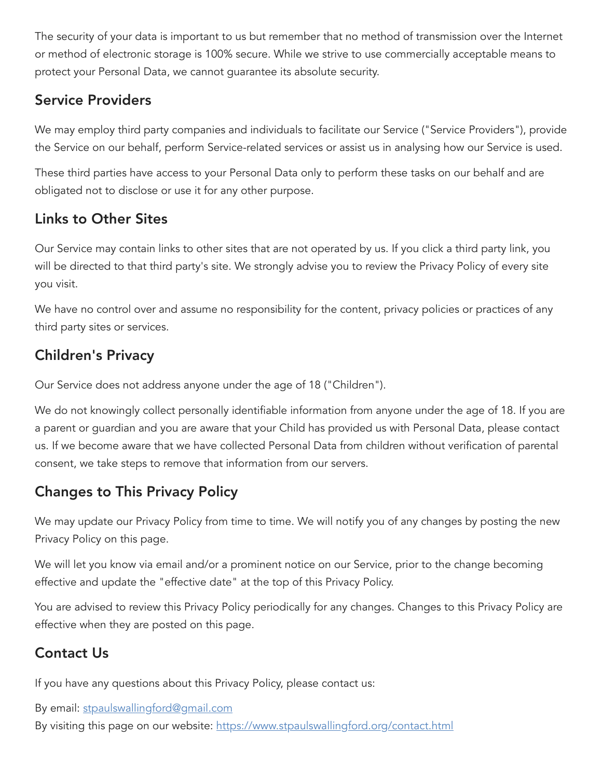The security of your data is important to us but remember that no method of transmission over the Internet or method of electronic storage is 100% secure. While we strive to use commercially acceptable means to protect your Personal Data, we cannot guarantee its absolute security.

### Service Providers

We may employ third party companies and individuals to facilitate our Service ("Service Providers"), provide the Service on our behalf, perform Service-related services or assist us in analysing how our Service is used.

These third parties have access to your Personal Data only to perform these tasks on our behalf and are obligated not to disclose or use it for any other purpose.

### Links to Other Sites

Our Service may contain links to other sites that are not operated by us. If you click a third party link, you will be directed to that third party's site. We strongly advise you to review the Privacy Policy of every site you visit.

We have no control over and assume no responsibility for the content, privacy policies or practices of any third party sites or services.

# Children's Privacy

Our Service does not address anyone under the age of 18 ("Children").

We do not knowingly collect personally identifiable information from anyone under the age of 18. If you are a parent or guardian and you are aware that your Child has provided us with Personal Data, please contact us. If we become aware that we have collected Personal Data from children without verification of parental consent, we take steps to remove that information from our servers.

## Changes to This Privacy Policy

We may update our Privacy Policy from time to time. We will notify you of any changes by posting the new Privacy Policy on this page.

We will let you know via email and/or a prominent notice on our Service, prior to the change becoming effective and update the "effective date" at the top of this Privacy Policy.

You are advised to review this Privacy Policy periodically for any changes. Changes to this Privacy Policy are effective when they are posted on this page.

# Contact Us

If you have any questions about this Privacy Policy, please contact us:

By email: [stpaulswallingford@gmail.com](mailto:stpaulswallingford@gmail.com)

By visiting this page on our website: <https://www.stpaulswallingford.org/contact.html>